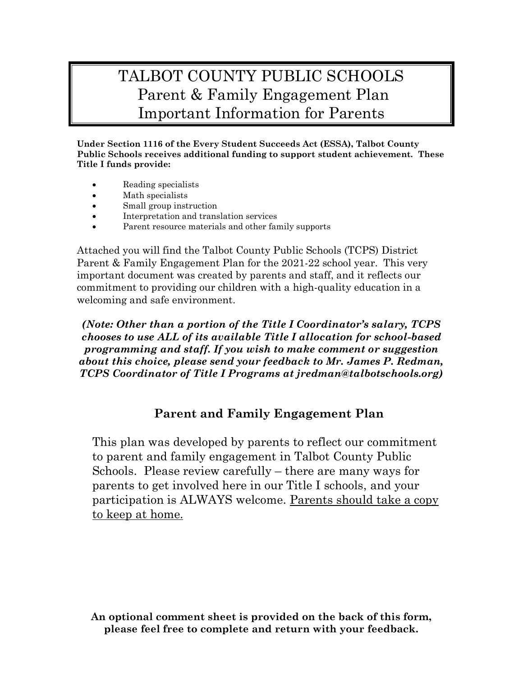## TALBOT COUNTY PUBLIC SCHOOLS Parent & Family Engagement Plan Important Information for Parents

**Under Section 1116 of the Every Student Succeeds Act (ESSA), Talbot County Public Schools receives additional funding to support student achievement. These Title I funds provide:**

- Reading specialists
- Math specialists
- Small group instruction
- Interpretation and translation services
- Parent resource materials and other family supports

Attached you will find the Talbot County Public Schools (TCPS) District Parent & Family Engagement Plan for the 2021-22 school year. This very important document was created by parents and staff, and it reflects our commitment to providing our children with a high-quality education in a welcoming and safe environment.

*(Note: Other than a portion of the Title I Coordinator's salary, TCPS chooses to use ALL of its available Title I allocation for school-based programming and staff. If you wish to make comment or suggestion about this choice, please send your feedback to Mr. James P. Redman, TCPS Coordinator of Title I Programs at jredman@talbotschools.org)*

## **Parent and Family Engagement Plan**

This plan was developed by parents to reflect our commitment to parent and family engagement in Talbot County Public Schools. Please review carefully – there are many ways for parents to get involved here in our Title I schools, and your participation is ALWAYS welcome. Parents should take a copy to keep at home.

**An optional comment sheet is provided on the back of this form, please feel free to complete and return with your feedback.**